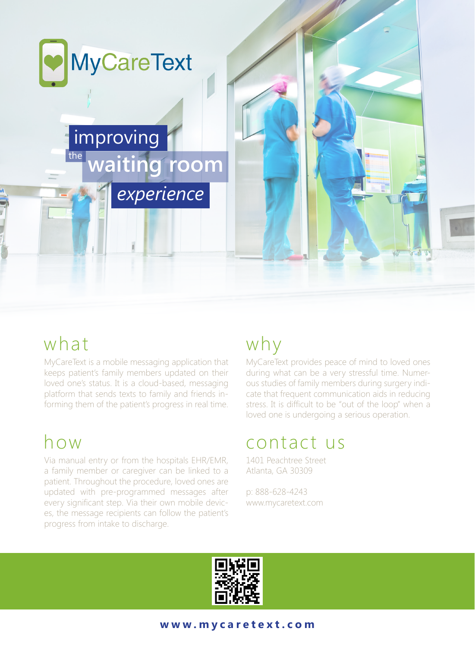

### what

MyCareText is a mobile messaging application that keeps patient's family members updated on their loved one's status. It is a cloud-based, messaging platform that sends texts to family and friends informing them of the patient's progress in real time.

## how

Via manual entry or from the hospitals EHR/EMR, a family member or caregiver can be linked to a patient. Throughout the procedure, loved ones are updated with pre-programmed messages after every significant step. Via their own mobile devices, the message recipients can follow the patient's progress from intake to discharge.

# why

MyCareText provides peace of mind to loved ones during what can be a very stressful time. Numerous studies of family members during surgery indicate that frequent communication aids in reducing stress. It is difficult to be "out of the loop" when a loved one is undergoing a serious operation.

### contact us

1401 Peachtree Street Atlanta, GA 30309

p: 888-628-4243 www.mycaretext.com